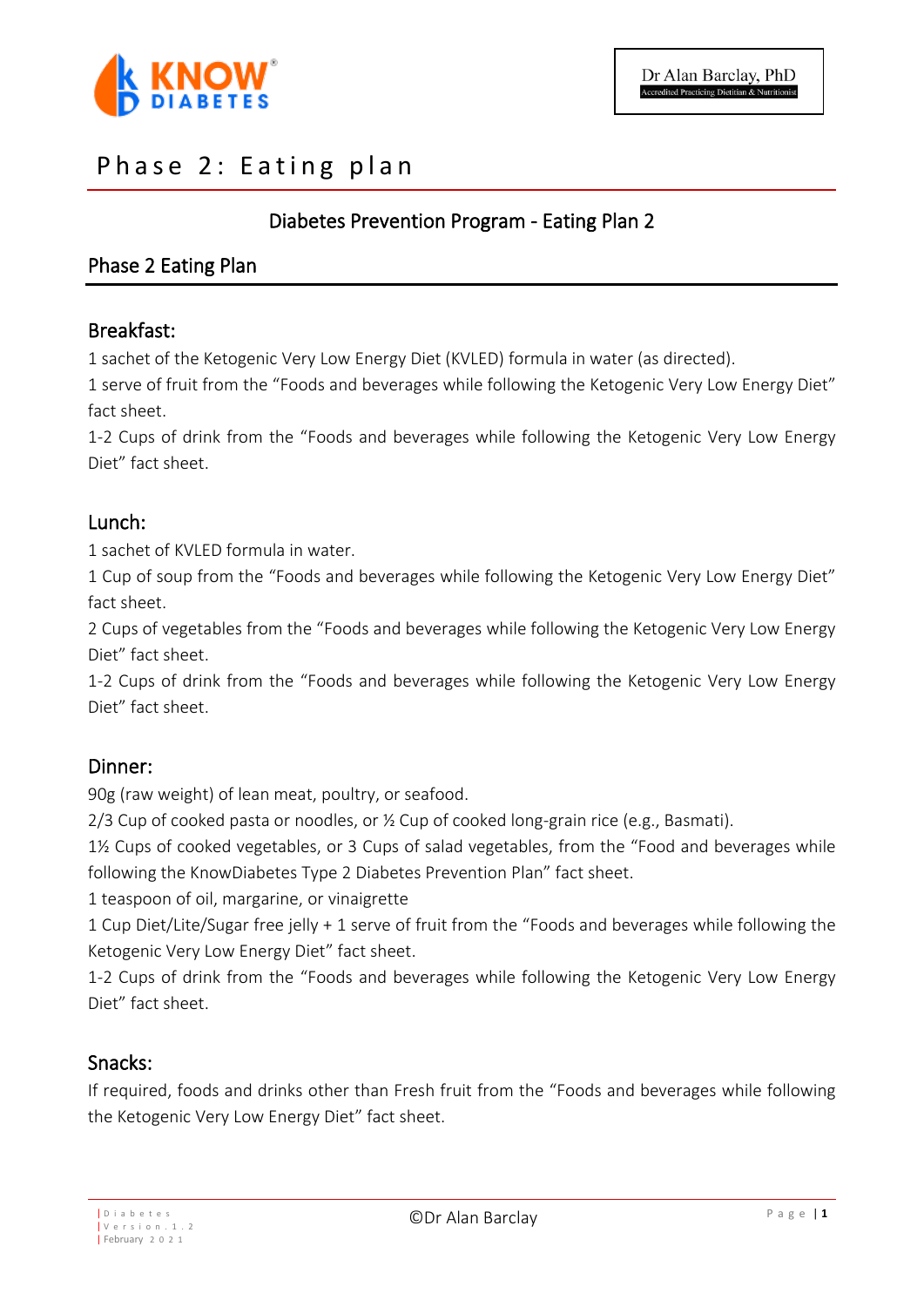

# Phase 2: Eating plan

# Diabetes Prevention Program - Eating Plan 2

# Phase 2 Eating Plan

## Breakfast:

1 sachet of the Ketogenic Very Low Energy Diet (KVLED) formula in water (as directed).

1 serve of fruit from the "Foods and beverages while following the Ketogenic Very Low Energy Diet" fact sheet.

1-2 Cups of drink from the "Foods and beverages while following the Ketogenic Very Low Energy Diet" fact sheet.

## Lunch:

1 sachet of KVLED formula in water.

1 Cup of soup from the "Foods and beverages while following the Ketogenic Very Low Energy Diet" fact sheet.

2 Cups of vegetables from the "Foods and beverages while following the Ketogenic Very Low Energy Diet" fact sheet.

1-2 Cups of drink from the "Foods and beverages while following the Ketogenic Very Low Energy Diet" fact sheet.

## Dinner:

90g (raw weight) of lean meat, poultry, or seafood.

2/3 Cup of cooked pasta or noodles, or ½ Cup of cooked long-grain rice (e.g., Basmati).

1½ Cups of cooked vegetables, or 3 Cups of salad vegetables, from the "Food and beverages while following the KnowDiabetes Type 2 Diabetes Prevention Plan" fact sheet.

1 teaspoon of oil, margarine, or vinaigrette

1 Cup Diet/Lite/Sugar free jelly + 1 serve of fruit from the "Foods and beverages while following the Ketogenic Very Low Energy Diet" fact sheet.

1-2 Cups of drink from the "Foods and beverages while following the Ketogenic Very Low Energy Diet" fact sheet.

## Snacks:

If required, foods and drinks other than Fresh fruit from the "Foods and beverages while following the Ketogenic Very Low Energy Diet" fact sheet.